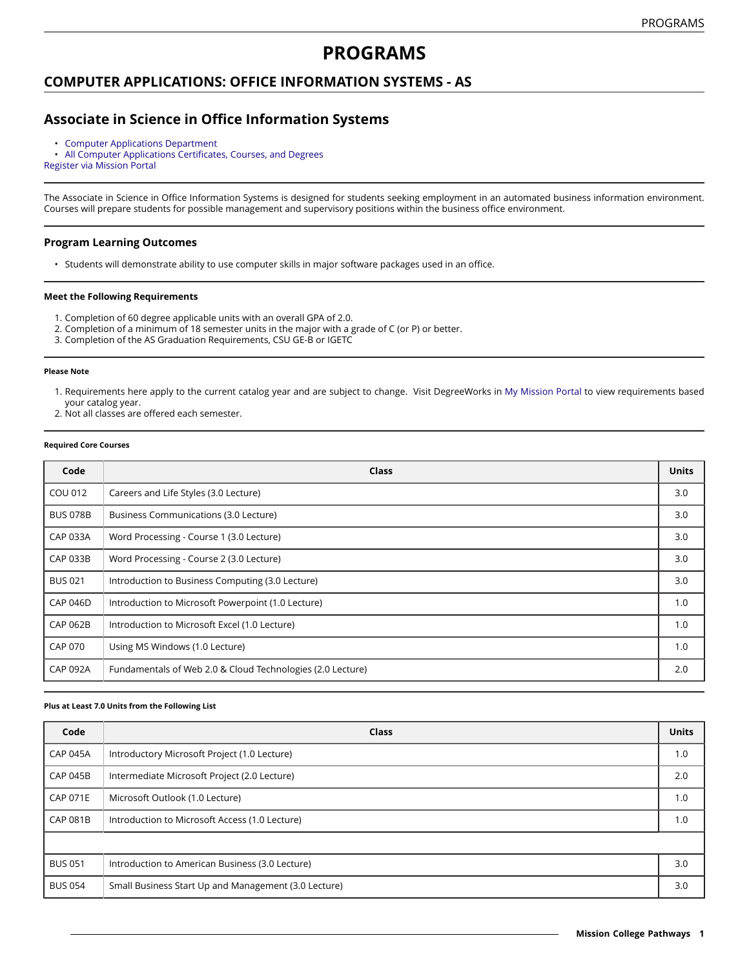# **PROGRAMS**

### **COMPUTER APPLICATIONS: OFFICE INFORMATION SYSTEMS - AS**

## **Associate in Science in Office Information Systems**

• [Computer Applications Department](https://missioncollege.edu/depts/computer-applications/)<br>• All Computer Applications Certificate

• All Computer [Applications](http://majors.missioncollege.edu/current/courses/cap.html) Certificates, Courses, and Degrees [Register via Mission Portal](https://web.wvm.edu/)

The Associate in Science in Office Information Systems is designed for students seeking employment in an automated business information environment. Courses will prepare students for possible management and supervisory positions within the business office environment.

### **Program Learning Outcomes**

• Students will demonstrate ability to use computer skills in major software packages used in an office.

#### **Meet the Following Requirements**

- 1. Completion of 60 degree applicable units with an overall GPA of 2.0.
- 2. Completion of a minimum of 18 semester units in the major with a grade of C (or P) or better.
- 3. Completion of the AS Graduation Requirements, CSU GE-B or IGETC

#### **Please Note**

- 1. Requirements here apply to the current catalog year and are subject to change. Visit DegreeWorks in [My Mission Portal t](https://web.wvm.edu/#/)o view requirements based your catalog year.
- 2. Not all classes are offered each semester.

#### **Required Core Courses**

| Code            | <b>Class</b>                                               | <b>Units</b> |
|-----------------|------------------------------------------------------------|--------------|
| COU 012         | Careers and Life Styles (3.0 Lecture)                      | 3.0          |
| <b>BUS 078B</b> | Business Communications (3.0 Lecture)                      | 3.0          |
| <b>CAP 033A</b> | Word Processing - Course 1 (3.0 Lecture)                   | 3.0          |
| <b>CAP 033B</b> | Word Processing - Course 2 (3.0 Lecture)                   | 3.0          |
| <b>BUS 021</b>  | Introduction to Business Computing (3.0 Lecture)           | 3.0          |
| <b>CAP 046D</b> | Introduction to Microsoft Powerpoint (1.0 Lecture)         | 1.0          |
| <b>CAP 062B</b> | Introduction to Microsoft Excel (1.0 Lecture)              | 1.0          |
| <b>CAP 070</b>  | Using MS Windows (1.0 Lecture)                             | 1.0          |
| <b>CAP 092A</b> | Fundamentals of Web 2.0 & Cloud Technologies (2.0 Lecture) | 2.0          |

#### **Plus at Least 7.0 Units from the Following List**

| Code            | <b>Class</b>                                         | <b>Units</b> |  |  |
|-----------------|------------------------------------------------------|--------------|--|--|
| <b>CAP 045A</b> | Introductory Microsoft Project (1.0 Lecture)         | 1.0          |  |  |
| <b>CAP 045B</b> | Intermediate Microsoft Project (2.0 Lecture)         | 2.0          |  |  |
| <b>CAP 071E</b> | Microsoft Outlook (1.0 Lecture)                      | 1.0          |  |  |
| <b>CAP 081B</b> | Introduction to Microsoft Access (1.0 Lecture)       | 1.0          |  |  |
|                 |                                                      |              |  |  |
| <b>BUS 051</b>  | Introduction to American Business (3.0 Lecture)      | 3.0          |  |  |
| <b>BUS 054</b>  | Small Business Start Up and Management (3.0 Lecture) | 3.0          |  |  |